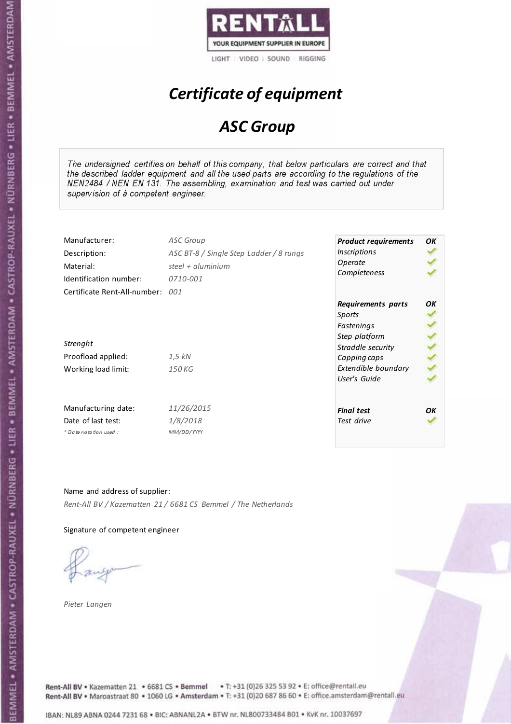

# Certificate of equipment

### ASC Group

The undersigned certifies on behalf of this company, that below particulars are correct and that the described ladder equipment and all the used parts are according to the regulations of the NEN2484 / NEN EN 131. The assembling, examination and test was carried out under supervision of à competent engineer.

| Manufacturer:                    | <b>ASC Group</b>                        | <b>Product requirements</b> | OK |
|----------------------------------|-----------------------------------------|-----------------------------|----|
| Description:                     | ASC BT-8 / Single Step Ladder / 8 rungs | <i><b>Inscriptions</b></i>  |    |
| Material:                        | steel + $aluminium$                     | Operate                     |    |
| Identification number:           | 0710-001                                | Completeness                |    |
| Certificate Rent-All-number: 001 |                                         |                             |    |
|                                  |                                         | Requirements parts          | OΚ |
|                                  |                                         | Sports                      |    |
|                                  |                                         | Fastenings                  |    |
|                                  |                                         | Step platform               |    |
| Strenght                         |                                         | Straddle security           |    |
| Proofload applied:               | $1.5$ kN                                | Capping caps                |    |
| Working load limit:              | 150 KG                                  | Extendible boundary         |    |
|                                  |                                         | User's Guide                |    |
| Manufacturing date:              | 11/26/2015                              | <b>Final test</b>           | OK |
| Date of last test:               | 1/8/2018                                | Test drive                  |    |
| $+$ Date notation used:          | MM/DD/YYYY                              |                             |    |

Name and address of supplier: Rent-All BV / Kazematten 21 / 6681 CS Bemmel / The Netherlands

Signature of competent engineer

Pieter Langen



Rent-All BV . Kazematten 21 . 6681 CS . Bemmel . T: +31 (0)26 325 53 92 . E: office@rentall.eu Rent-All BV · Maroastraat 80 · 1060 LG · Amsterdam · T: +31 (0)20 687 86 60 · E: office.amsterdam@rentall.eu

IBAN: NL89 ABNA 0244 7231 68 . BIC: ABNANL2A . BTW nr. NL800733484 B01 . KvK nr. 10037697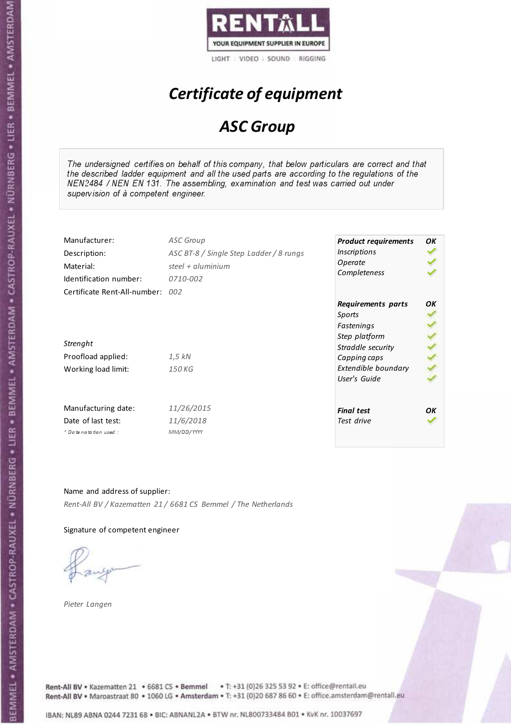

# Certificate of equipment

### ASC Group

The undersigned certifies on behalf of this company, that below particulars are correct and that the described ladder equipment and all the used parts are according to the regulations of the NEN2484 / NEN EN 131. The assembling, examination and test was carried out under supervision of à competent engineer.

| Manufacturer:                    | <b>ASC Group</b>                        | <b>Product requirements</b> | OK |
|----------------------------------|-----------------------------------------|-----------------------------|----|
| Description:                     | ASC BT-8 / Single Step Ladder / 8 rungs | <i><b>Inscriptions</b></i>  |    |
| Material:                        | steel + aluminium                       | Operate                     |    |
| Identification number:           | 0710-002                                | Completeness                |    |
| Certificate Rent-All-number: 002 |                                         |                             |    |
|                                  |                                         | Requirements parts          | OΚ |
|                                  |                                         | Sports                      |    |
|                                  |                                         | Fastenings                  |    |
|                                  |                                         | Step platform               |    |
| Strenght                         |                                         | Straddle security           |    |
| Proofload applied:               | $1,5$ kN                                | Capping caps                |    |
| Working load limit:              | 150 KG                                  | Extendible boundary         |    |
|                                  |                                         | User's Guide                |    |
| Manufacturing date:              | 11/26/2015                              | <b>Final test</b>           | OK |
| Date of last test:               | 11/6/2018                               | Test drive                  |    |
| + Date notation used:            | MM/DD/YYYY                              |                             |    |

Name and address of supplier: Rent-All BV / Kazematten 21 / 6681 CS Bemmel / The Netherlands

Signature of competent engineer

Pieter Langen



Rent-All BV . Kazematten 21 . 6681 CS . Bemmel . T: +31 (0)26 325 53 92 . E: office@rentall.eu Rent-All BV · Maroastraat 80 · 1060 LG · Amsterdam · T: +31 (0)20 687 86 60 · E: office.amsterdam@rentall.eu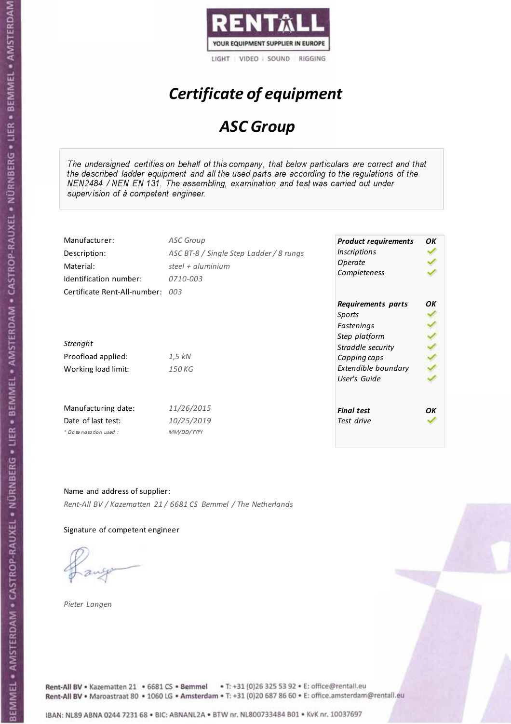

# Certificate of equipment

### ASC Group

The undersigned certifies on behalf of this company, that below particulars are correct and that the described ladder equipment and all the used parts are according to the regulations of the NEN2484 / NEN EN 131. The assembling, examination and test was carried out under supervision of à competent engineer.

| Manufacturer:                    | <b>ASC Group</b>                        | <b>Product requirements</b>  | OK |
|----------------------------------|-----------------------------------------|------------------------------|----|
| Description:                     | ASC BT-8 / Single Step Ladder / 8 rungs | <i><b>Inscriptions</b></i>   |    |
| Material:                        | steel + aluminium                       | Operate                      |    |
| Identification number:           | 0710-003                                | Completeness                 |    |
| Certificate Rent-All-number: 003 |                                         |                              |    |
|                                  |                                         | Requirements parts<br>Sports | ОК |
|                                  |                                         | Fastenings                   |    |
|                                  |                                         | Step platform                |    |
| Strenght                         |                                         | Straddle security            |    |
| Proofload applied:               | $1,5$ kN                                | Capping caps                 |    |
| Working load limit:              | 150 KG                                  | Extendible boundary          |    |
|                                  |                                         | User's Guide                 |    |
| Manufacturing date:              | 11/26/2015                              | <b>Final test</b>            | ΟK |
| Date of last test:               | 10/25/2019                              | Test drive                   |    |
| * Date notation used:            | MM/DD/YYYY                              |                              |    |

Name and address of supplier: Rent-All BV / Kazematten 21 / 6681 CS Bemmel / The Netherlands

Signature of competent engineer

Pieter Langen



Rent-All BV . Kazematten 21 . 6681 CS . Bemmel . T: +31 (0)26 325 53 92 . E: office@rentall.eu Rent-All BV · Maroastraat 80 · 1060 LG · Amsterdam · T: +31 (0)20 687 86 60 · E: office.amsterdam@rentall.eu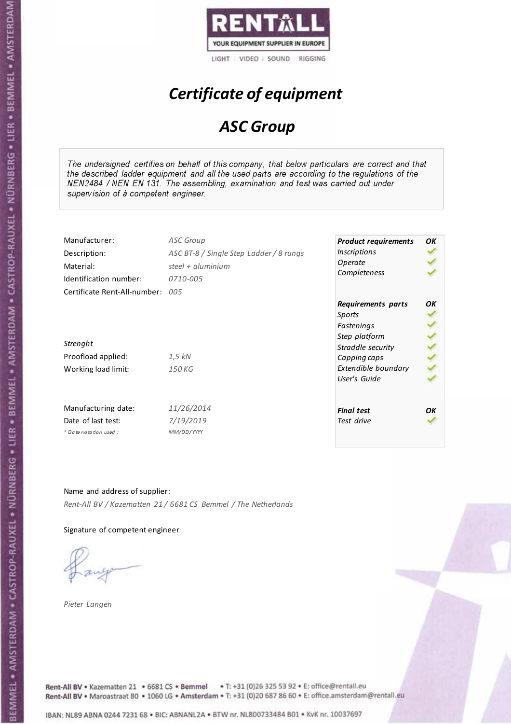

# Certificate of equipment

### ASC Group

The undersigned certifies on behalf of this company, that below particulars are correct and that the described ladder equipment and all the used parts are according to the regulations of the NEN2484 / NEN EN 131. The assembling, examination and test was carried out under supervision of à competent engineer.

| Manufacturer:                    | <b>ASC Group</b>                        | <b>Product requirements</b> | OK |
|----------------------------------|-----------------------------------------|-----------------------------|----|
| Description:                     | ASC BT-8 / Single Step Ladder / 8 rungs | <i><b>Inscriptions</b></i>  |    |
| Material:                        | steel + $aluminium$                     | Operate                     |    |
| Identification number:           | 0710-005                                | Completeness                |    |
| Certificate Rent-All-number: 005 |                                         |                             |    |
|                                  |                                         | Requirements parts          | OΚ |
|                                  |                                         | Sports                      |    |
|                                  |                                         | Fastenings                  |    |
|                                  |                                         | Step platform               |    |
| Strenght                         |                                         | Straddle security           |    |
| Proofload applied:               | $1.5$ kN                                | Capping caps                |    |
| Working load limit:              | 150 KG                                  | Extendible boundary         |    |
|                                  |                                         | User's Guide                |    |
| Manufacturing date:              | 11/26/2014                              | <b>Final test</b>           | OK |
| Date of last test:               | 7/19/2019                               | Test drive                  |    |
| $+$ Date notation used:          | MM/DD/YYYY                              |                             |    |

Name and address of supplier: Rent-All BV / Kazematten 21 / 6681 CS Bemmel / The Netherlands

Signature of competent engineer

Pieter Langen



Rent-All BV . Kazematten 21 . 6681 CS . Bemmel . T: +31 (0)26 325 53 92 . E: office@rentall.eu Rent-All BV · Maroastraat 80 · 1060 LG · Amsterdam · T: +31 (0)20 687 86 60 · E: office.amsterdam@rentall.eu